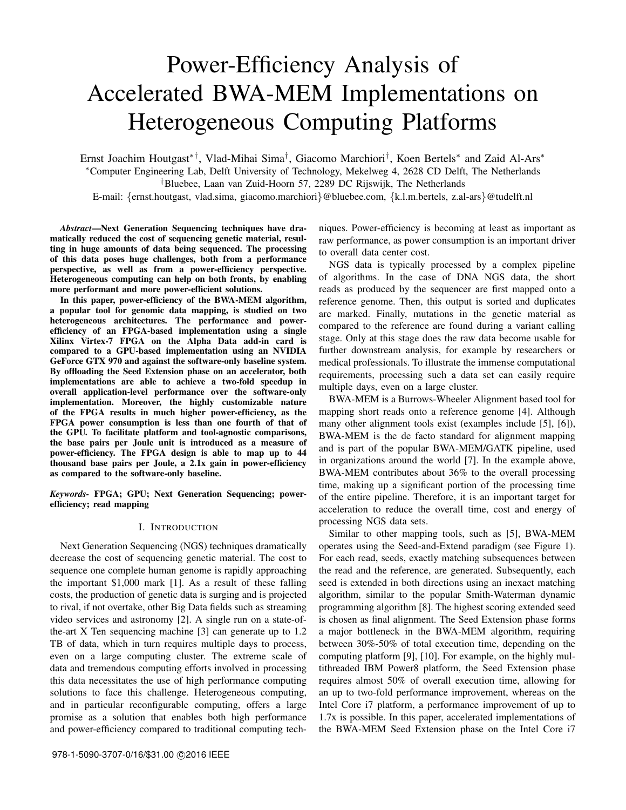# Power-Efficiency Analysis of Accelerated BWA-MEM Implementations on Heterogeneous Computing Platforms

Ernst Joachim Houtgast∗†, Vlad-Mihai Sima† , Giacomo Marchiori† , Koen Bertels<sup>∗</sup> and Zaid Al-Ars<sup>∗</sup> <sup>∗</sup>Computer Engineering Lab, Delft University of Technology, Mekelweg 4, 2628 CD Delft, The Netherlands †Bluebee, Laan van Zuid-Hoorn 57, 2289 DC Rijswijk, The Netherlands E-mail: {ernst.houtgast, vlad.sima, giacomo.marchiori}@bluebee.com, {k.l.m.bertels, z.al-ars}@tudelft.nl

*Abstract*—Next Generation Sequencing techniques have dramatically reduced the cost of sequencing genetic material, resulting in huge amounts of data being sequenced. The processing of this data poses huge challenges, both from a performance perspective, as well as from a power-efficiency perspective. Heterogeneous computing can help on both fronts, by enabling more performant and more power-efficient solutions.

In this paper, power-efficiency of the BWA-MEM algorithm, a popular tool for genomic data mapping, is studied on two heterogeneous architectures. The performance and powerefficiency of an FPGA-based implementation using a single Xilinx Virtex-7 FPGA on the Alpha Data add-in card is compared to a GPU-based implementation using an NVIDIA GeForce GTX 970 and against the software-only baseline system. By offloading the Seed Extension phase on an accelerator, both implementations are able to achieve a two-fold speedup in overall application-level performance over the software-only implementation. Moreover, the highly customizable nature of the FPGA results in much higher power-efficiency, as the FPGA power consumption is less than one fourth of that of the GPU. To facilitate platform and tool-agnostic comparisons, the base pairs per Joule unit is introduced as a measure of power-efficiency. The FPGA design is able to map up to 44 thousand base pairs per Joule, a 2.1x gain in power-efficiency as compared to the software-only baseline.

*Keywords-* FPGA; GPU; Next Generation Sequencing; powerefficiency; read mapping

#### I. INTRODUCTION

Next Generation Sequencing (NGS) techniques dramatically decrease the cost of sequencing genetic material. The cost to sequence one complete human genome is rapidly approaching the important \$1,000 mark [1]. As a result of these falling costs, the production of genetic data is surging and is projected to rival, if not overtake, other Big Data fields such as streaming video services and astronomy [2]. A single run on a state-ofthe-art X Ten sequencing machine [3] can generate up to 1.2 TB of data, which in turn requires multiple days to process, even on a large computing cluster. The extreme scale of data and tremendous computing efforts involved in processing this data necessitates the use of high performance computing solutions to face this challenge. Heterogeneous computing, and in particular reconfigurable computing, offers a large promise as a solution that enables both high performance and power-efficiency compared to traditional computing tech-

niques. Power-efficiency is becoming at least as important as raw performance, as power consumption is an important driver to overall data center cost.

NGS data is typically processed by a complex pipeline of algorithms. In the case of DNA NGS data, the short reads as produced by the sequencer are first mapped onto a reference genome. Then, this output is sorted and duplicates are marked. Finally, mutations in the genetic material as compared to the reference are found during a variant calling stage. Only at this stage does the raw data become usable for further downstream analysis, for example by researchers or medical professionals. To illustrate the immense computational requirements, processing such a data set can easily require multiple days, even on a large cluster.

BWA-MEM is a Burrows-Wheeler Alignment based tool for mapping short reads onto a reference genome [4]. Although many other alignment tools exist (examples include [5], [6]), BWA-MEM is the de facto standard for alignment mapping and is part of the popular BWA-MEM/GATK pipeline, used in organizations around the world [7]. In the example above, BWA-MEM contributes about 36% to the overall processing time, making up a significant portion of the processing time of the entire pipeline. Therefore, it is an important target for acceleration to reduce the overall time, cost and energy of processing NGS data sets.

Similar to other mapping tools, such as [5], BWA-MEM operates using the Seed-and-Extend paradigm (see Figure 1). For each read, seeds, exactly matching subsequences between the read and the reference, are generated. Subsequently, each seed is extended in both directions using an inexact matching algorithm, similar to the popular Smith-Waterman dynamic programming algorithm [8]. The highest scoring extended seed is chosen as final alignment. The Seed Extension phase forms a major bottleneck in the BWA-MEM algorithm, requiring between 30%-50% of total execution time, depending on the computing platform [9], [10]. For example, on the highly multithreaded IBM Power8 platform, the Seed Extension phase requires almost 50% of overall execution time, allowing for an up to two-fold performance improvement, whereas on the Intel Core i7 platform, a performance improvement of up to 1.7x is possible. In this paper, accelerated implementations of the BWA-MEM Seed Extension phase on the Intel Core i7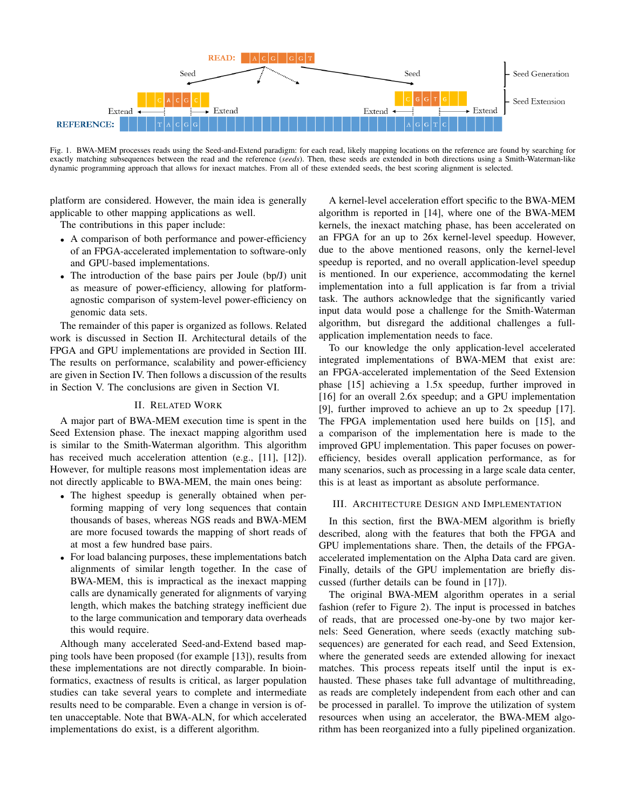

Fig. 1. BWA-MEM processes reads using the Seed-and-Extend paradigm: for each read, likely mapping locations on the reference are found by searching for exactly matching subsequences between the read and the reference (*seeds*). Then, these seeds are extended in both directions using a Smith-Waterman-like dynamic programming approach that allows for inexact matches. From all of these extended seeds, the best scoring alignment is selected.

platform are considered. However, the main idea is generally applicable to other mapping applications as well.

The contributions in this paper include:

- A comparison of both performance and power-efficiency of an FPGA-accelerated implementation to software-only and GPU-based implementations.
- The introduction of the base pairs per Joule (bp/J) unit as measure of power-efficiency, allowing for platformagnostic comparison of system-level power-efficiency on genomic data sets.

The remainder of this paper is organized as follows. Related work is discussed in Section II. Architectural details of the FPGA and GPU implementations are provided in Section III. The results on performance, scalability and power-efficiency are given in Section IV. Then follows a discussion of the results in Section V. The conclusions are given in Section VI.

# II. RELATED WORK

A major part of BWA-MEM execution time is spent in the Seed Extension phase. The inexact mapping algorithm used is similar to the Smith-Waterman algorithm. This algorithm has received much acceleration attention (e.g., [11], [12]). However, for multiple reasons most implementation ideas are not directly applicable to BWA-MEM, the main ones being:

- The highest speedup is generally obtained when performing mapping of very long sequences that contain thousands of bases, whereas NGS reads and BWA-MEM are more focused towards the mapping of short reads of at most a few hundred base pairs.
- For load balancing purposes, these implementations batch alignments of similar length together. In the case of BWA-MEM, this is impractical as the inexact mapping calls are dynamically generated for alignments of varying length, which makes the batching strategy inefficient due to the large communication and temporary data overheads this would require.

Although many accelerated Seed-and-Extend based mapping tools have been proposed (for example [13]), results from these implementations are not directly comparable. In bioinformatics, exactness of results is critical, as larger population studies can take several years to complete and intermediate results need to be comparable. Even a change in version is often unacceptable. Note that BWA-ALN, for which accelerated implementations do exist, is a different algorithm.

A kernel-level acceleration effort specific to the BWA-MEM algorithm is reported in [14], where one of the BWA-MEM kernels, the inexact matching phase, has been accelerated on an FPGA for an up to 26x kernel-level speedup. However, due to the above mentioned reasons, only the kernel-level speedup is reported, and no overall application-level speedup is mentioned. In our experience, accommodating the kernel implementation into a full application is far from a trivial task. The authors acknowledge that the significantly varied input data would pose a challenge for the Smith-Waterman algorithm, but disregard the additional challenges a fullapplication implementation needs to face.

To our knowledge the only application-level accelerated integrated implementations of BWA-MEM that exist are: an FPGA-accelerated implementation of the Seed Extension phase [15] achieving a 1.5x speedup, further improved in [16] for an overall 2.6x speedup; and a GPU implementation [9], further improved to achieve an up to 2x speedup [17]. The FPGA implementation used here builds on [15], and a comparison of the implementation here is made to the improved GPU implementation. This paper focuses on powerefficiency, besides overall application performance, as for many scenarios, such as processing in a large scale data center, this is at least as important as absolute performance.

#### III. ARCHITECTURE DESIGN AND IMPLEMENTATION

In this section, first the BWA-MEM algorithm is briefly described, along with the features that both the FPGA and GPU implementations share. Then, the details of the FPGAaccelerated implementation on the Alpha Data card are given. Finally, details of the GPU implementation are briefly discussed (further details can be found in [17]).

The original BWA-MEM algorithm operates in a serial fashion (refer to Figure 2). The input is processed in batches of reads, that are processed one-by-one by two major kernels: Seed Generation, where seeds (exactly matching subsequences) are generated for each read, and Seed Extension, where the generated seeds are extended allowing for inexact matches. This process repeats itself until the input is exhausted. These phases take full advantage of multithreading, as reads are completely independent from each other and can be processed in parallel. To improve the utilization of system resources when using an accelerator, the BWA-MEM algorithm has been reorganized into a fully pipelined organization.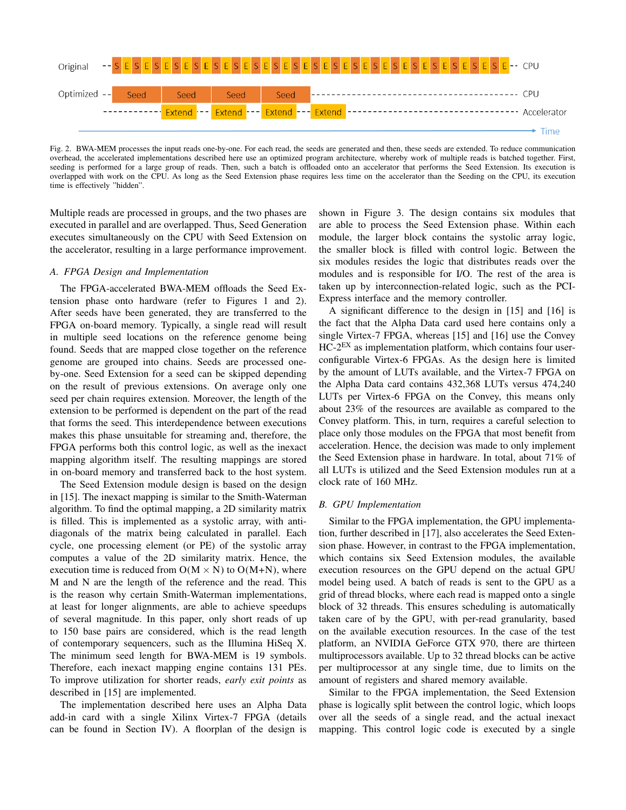

Fig. 2. BWA-MEM processes the input reads one-by-one. For each read, the seeds are generated and then, these seeds are extended. To reduce communication overhead, the accelerated implementations described here use an optimized program architecture, whereby work of multiple reads is batched together. First, seeding is performed for a large group of reads. Then, such a batch is offloaded onto an accelerator that performs the Seed Extension. Its execution is overlapped with work on the CPU. As long as the Seed Extension phase requires less time on the accelerator than the Seeding on the CPU, its execution time is effectively "hidden".

Multiple reads are processed in groups, and the two phases are executed in parallel and are overlapped. Thus, Seed Generation executes simultaneously on the CPU with Seed Extension on the accelerator, resulting in a large performance improvement.

#### *A. FPGA Design and Implementation*

The FPGA-accelerated BWA-MEM offloads the Seed Extension phase onto hardware (refer to Figures 1 and 2). After seeds have been generated, they are transferred to the FPGA on-board memory. Typically, a single read will result in multiple seed locations on the reference genome being found. Seeds that are mapped close together on the reference genome are grouped into chains. Seeds are processed oneby-one. Seed Extension for a seed can be skipped depending on the result of previous extensions. On average only one seed per chain requires extension. Moreover, the length of the extension to be performed is dependent on the part of the read that forms the seed. This interdependence between executions makes this phase unsuitable for streaming and, therefore, the FPGA performs both this control logic, as well as the inexact mapping algorithm itself. The resulting mappings are stored in on-board memory and transferred back to the host system.

The Seed Extension module design is based on the design in [15]. The inexact mapping is similar to the Smith-Waterman algorithm. To find the optimal mapping, a 2D similarity matrix is filled. This is implemented as a systolic array, with antidiagonals of the matrix being calculated in parallel. Each cycle, one processing element (or PE) of the systolic array computes a value of the 2D similarity matrix. Hence, the execution time is reduced from  $O(M \times N)$  to  $O(M+N)$ , where M and N are the length of the reference and the read. This is the reason why certain Smith-Waterman implementations, at least for longer alignments, are able to achieve speedups of several magnitude. In this paper, only short reads of up to 150 base pairs are considered, which is the read length of contemporary sequencers, such as the Illumina HiSeq X. The minimum seed length for BWA-MEM is 19 symbols. Therefore, each inexact mapping engine contains 131 PEs. To improve utilization for shorter reads, *early exit points* as described in [15] are implemented.

The implementation described here uses an Alpha Data add-in card with a single Xilinx Virtex-7 FPGA (details can be found in Section IV). A floorplan of the design is shown in Figure 3. The design contains six modules that are able to process the Seed Extension phase. Within each module, the larger block contains the systolic array logic, the smaller block is filled with control logic. Between the six modules resides the logic that distributes reads over the modules and is responsible for I/O. The rest of the area is taken up by interconnection-related logic, such as the PCI-Express interface and the memory controller.

A significant difference to the design in [15] and [16] is the fact that the Alpha Data card used here contains only a single Virtex-7 FPGA, whereas [15] and [16] use the Convey  $HC-2<sup>EX</sup>$  as implementation platform, which contains four userconfigurable Virtex-6 FPGAs. As the design here is limited by the amount of LUTs available, and the Virtex-7 FPGA on the Alpha Data card contains 432,368 LUTs versus 474,240 LUTs per Virtex-6 FPGA on the Convey, this means only about 23% of the resources are available as compared to the Convey platform. This, in turn, requires a careful selection to place only those modules on the FPGA that most benefit from acceleration. Hence, the decision was made to only implement the Seed Extension phase in hardware. In total, about 71% of all LUTs is utilized and the Seed Extension modules run at a clock rate of 160 MHz.

#### *B. GPU Implementation*

Similar to the FPGA implementation, the GPU implementation, further described in [17], also accelerates the Seed Extension phase. However, in contrast to the FPGA implementation, which contains six Seed Extension modules, the available execution resources on the GPU depend on the actual GPU model being used. A batch of reads is sent to the GPU as a grid of thread blocks, where each read is mapped onto a single block of 32 threads. This ensures scheduling is automatically taken care of by the GPU, with per-read granularity, based on the available execution resources. In the case of the test platform, an NVIDIA GeForce GTX 970, there are thirteen multiprocessors available. Up to 32 thread blocks can be active per multiprocessor at any single time, due to limits on the amount of registers and shared memory available.

Similar to the FPGA implementation, the Seed Extension phase is logically split between the control logic, which loops over all the seeds of a single read, and the actual inexact mapping. This control logic code is executed by a single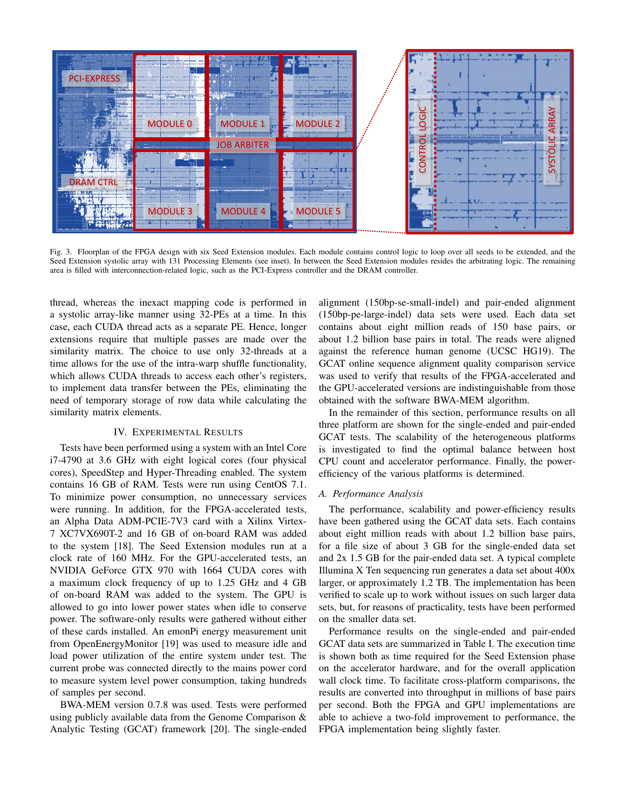

Fig. 3. Floorplan of the FPGA design with six Seed Extension modules. Each module contains control logic to loop over all seeds to be extended, and the Seed Extension systolic array with 131 Processing Elements (see inset). In between the Seed Extension modules resides the arbitrating logic. The remaining area is filled with interconnection-related logic, such as the PCI-Express controller and the DRAM controller.

thread, whereas the inexact mapping code is performed in a systolic array-like manner using 32-PEs at a time. In this case, each CUDA thread acts as a separate PE. Hence, longer extensions require that multiple passes are made over the similarity matrix. The choice to use only 32-threads at a time allows for the use of the intra-warp shuffle functionality, which allows CUDA threads to access each other's registers, to implement data transfer between the PEs, eliminating the need of temporary storage of row data while calculating the similarity matrix elements.

# IV. EXPERIMENTAL RESULTS

Tests have been performed using a system with an Intel Core i7-4790 at 3.6 GHz with eight logical cores (four physical cores), SpeedStep and Hyper-Threading enabled. The system contains 16 GB of RAM. Tests were run using CentOS 7.1. To minimize power consumption, no unnecessary services were running. In addition, for the FPGA-accelerated tests, an Alpha Data ADM-PCIE-7V3 card with a Xilinx Virtex-7 XC7VX690T-2 and 16 GB of on-board RAM was added to the system [18]. The Seed Extension modules run at a clock rate of 160 MHz. For the GPU-accelerated tests, an NVIDIA GeForce GTX 970 with 1664 CUDA cores with a maximum clock frequency of up to 1.25 GHz and 4 GB of on-board RAM was added to the system. The GPU is allowed to go into lower power states when idle to conserve power. The software-only results were gathered without either of these cards installed. An emonPi energy measurement unit from OpenEnergyMonitor [19] was used to measure idle and load power utilization of the entire system under test. The current probe was connected directly to the mains power cord to measure system level power consumption, taking hundreds of samples per second.

BWA-MEM version 0.7.8 was used. Tests were performed using publicly available data from the Genome Comparison & Analytic Testing (GCAT) framework [20]. The single-ended alignment (150bp-se-small-indel) and pair-ended alignment (150bp-pe-large-indel) data sets were used. Each data set contains about eight million reads of 150 base pairs, or about 1.2 billion base pairs in total. The reads were aligned against the reference human genome (UCSC HG19). The GCAT online sequence alignment quality comparison service was used to verify that results of the FPGA-accelerated and the GPU-accelerated versions are indistinguishable from those obtained with the software BWA-MEM algorithm.

In the remainder of this section, performance results on all three platform are shown for the single-ended and pair-ended GCAT tests. The scalability of the heterogeneous platforms is investigated to find the optimal balance between host CPU count and accelerator performance. Finally, the powerefficiency of the various platforms is determined.

## *A. Performance Analysis*

The performance, scalability and power-efficiency results have been gathered using the GCAT data sets. Each contains about eight million reads with about 1.2 billion base pairs, for a file size of about 3 GB for the single-ended data set and 2x 1.5 GB for the pair-ended data set. A typical complete Illumina X Ten sequencing run generates a data set about 400x larger, or approximately 1.2 TB. The implementation has been verified to scale up to work without issues on such larger data sets, but, for reasons of practicality, tests have been performed on the smaller data set.

Performance results on the single-ended and pair-ended GCAT data sets are summarized in Table I. The execution time is shown both as time required for the Seed Extension phase on the accelerator hardware, and for the overall application wall clock time. To facilitate cross-platform comparisons, the results are converted into throughput in millions of base pairs per second. Both the FPGA and GPU implementations are able to achieve a two-fold improvement to performance, the FPGA implementation being slightly faster.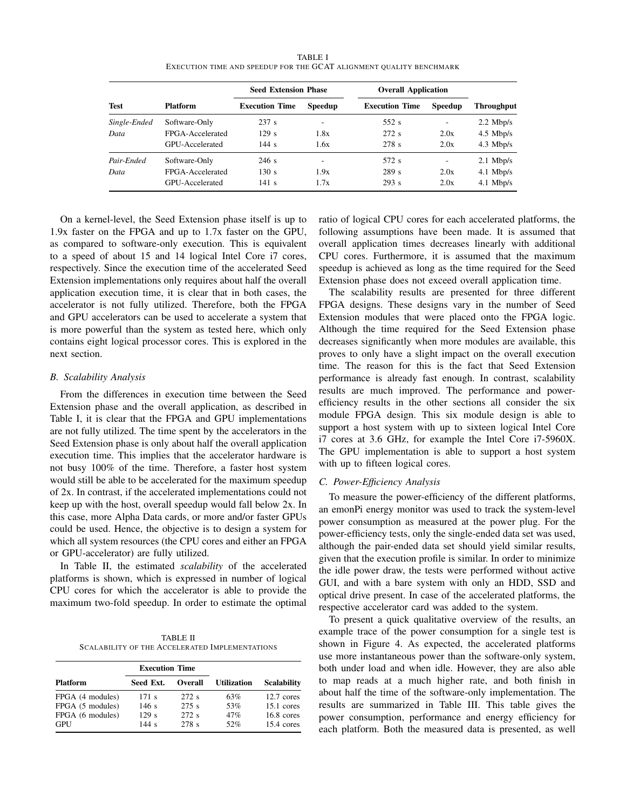| <b>TABLE I</b>                                                      |
|---------------------------------------------------------------------|
| EXECUTION TIME AND SPEEDUP FOR THE GCAT ALIGNMENT QUALITY BENCHMARK |

|              |                  | <b>Seed Extension Phase</b> |                | <b>Overall Application</b> |                |             |
|--------------|------------------|-----------------------------|----------------|----------------------------|----------------|-------------|
| <b>Test</b>  | Platform         | <b>Execution Time</b>       | <b>Speedup</b> | <b>Execution Time</b>      | <b>Speedup</b> | Throughput  |
| Single-Ended | Software-Only    | 237 s                       | ۰              | 552 s                      | -              | $2.2$ Mbp/s |
| Data         | FPGA-Accelerated | 129s                        | 1.8x           | 272s                       | 2.0x           | $4.5$ Mbp/s |
|              | GPU-Accelerated  | 144s                        | 1.6x           | 278 s                      | 2.0x           | $4.3$ Mbp/s |
| Pair-Ended   | Software-Only    | 246s                        | ۰              | 572 s                      | ٠              | $2.1$ Mbp/s |
| Data         | FPGA-Accelerated | 130 s                       | 1.9x           | 289 s                      | 2.0x           | $4.1$ Mbp/s |
|              | GPU-Accelerated  | 141 s                       | 1.7x           | 293 s                      | 2.0x           | $4.1$ Mbp/s |

On a kernel-level, the Seed Extension phase itself is up to 1.9x faster on the FPGA and up to 1.7x faster on the GPU, as compared to software-only execution. This is equivalent to a speed of about 15 and 14 logical Intel Core i7 cores, respectively. Since the execution time of the accelerated Seed Extension implementations only requires about half the overall application execution time, it is clear that in both cases, the accelerator is not fully utilized. Therefore, both the FPGA and GPU accelerators can be used to accelerate a system that is more powerful than the system as tested here, which only contains eight logical processor cores. This is explored in the next section.

# *B. Scalability Analysis*

From the differences in execution time between the Seed Extension phase and the overall application, as described in Table I, it is clear that the FPGA and GPU implementations are not fully utilized. The time spent by the accelerators in the Seed Extension phase is only about half the overall application execution time. This implies that the accelerator hardware is not busy 100% of the time. Therefore, a faster host system would still be able to be accelerated for the maximum speedup of 2x. In contrast, if the accelerated implementations could not keep up with the host, overall speedup would fall below 2x. In this case, more Alpha Data cards, or more and/or faster GPUs could be used. Hence, the objective is to design a system for which all system resources (the CPU cores and either an FPGA or GPU-accelerator) are fully utilized.

In Table II, the estimated *scalability* of the accelerated platforms is shown, which is expressed in number of logical CPU cores for which the accelerator is able to provide the maximum two-fold speedup. In order to estimate the optimal

TABLE II SCALABILITY OF THE ACCELERATED IMPLEMENTATIONS

|                  | <b>Execution Time</b> |                |                    |                      |
|------------------|-----------------------|----------------|--------------------|----------------------|
| <b>Platform</b>  | Seed Ext.             | <b>Overall</b> | <b>Utilization</b> | <b>Scalability</b>   |
| FPGA (4 modules) | $171 \text{ s}$       | 272 s          | 63%                | $12.7$ cores         |
| FPGA (5 modules) | 146s                  | 275s           | 53%                | $15.1$ cores         |
| FPGA (6 modules) | 129s                  | 272s           | 47%                | $16.8$ cores         |
| GPU              | 144s                  | 278 s          | 52%                | $15.4 \text{ cores}$ |

ratio of logical CPU cores for each accelerated platforms, the following assumptions have been made. It is assumed that overall application times decreases linearly with additional CPU cores. Furthermore, it is assumed that the maximum speedup is achieved as long as the time required for the Seed Extension phase does not exceed overall application time.

The scalability results are presented for three different FPGA designs. These designs vary in the number of Seed Extension modules that were placed onto the FPGA logic. Although the time required for the Seed Extension phase decreases significantly when more modules are available, this proves to only have a slight impact on the overall execution time. The reason for this is the fact that Seed Extension performance is already fast enough. In contrast, scalability results are much improved. The performance and powerefficiency results in the other sections all consider the six module FPGA design. This six module design is able to support a host system with up to sixteen logical Intel Core i7 cores at 3.6 GHz, for example the Intel Core i7-5960X. The GPU implementation is able to support a host system with up to fifteen logical cores.

#### *C. Power-Efficiency Analysis*

To measure the power-efficiency of the different platforms, an emonPi energy monitor was used to track the system-level power consumption as measured at the power plug. For the power-efficiency tests, only the single-ended data set was used, although the pair-ended data set should yield similar results, given that the execution profile is similar. In order to minimize the idle power draw, the tests were performed without active GUI, and with a bare system with only an HDD, SSD and optical drive present. In case of the accelerated platforms, the respective accelerator card was added to the system.

To present a quick qualitative overview of the results, an example trace of the power consumption for a single test is shown in Figure 4. As expected, the accelerated platforms use more instantaneous power than the software-only system, both under load and when idle. However, they are also able to map reads at a much higher rate, and both finish in about half the time of the software-only implementation. The results are summarized in Table III. This table gives the power consumption, performance and energy efficiency for each platform. Both the measured data is presented, as well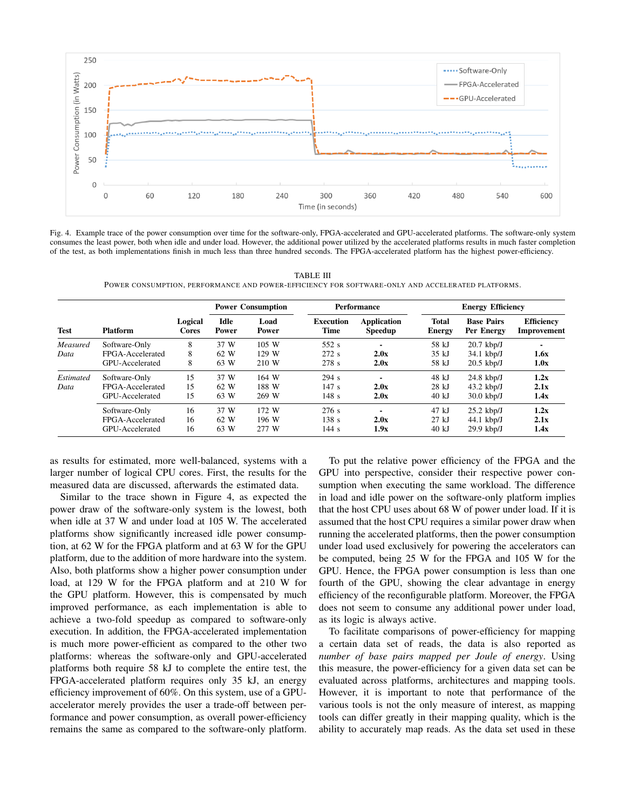

Fig. 4. Example trace of the power consumption over time for the software-only, FPGA-accelerated and GPU-accelerated platforms. The software-only system consumes the least power, both when idle and under load. However, the additional power utilized by the accelerated platforms results in much faster completion of the test, as both implementations finish in much less than three hundred seconds. The FPGA-accelerated platform has the highest power-efficiency.

TABLE III POWER CONSUMPTION, PERFORMANCE AND POWER-EFFICIENCY FOR SOFTWARE-ONLY AND ACCELERATED PLATFORMS.

|             | <b>Platform</b>  | Logical<br><b>Cores</b> | <b>Power Consumption</b>    |               | Performance                     |                               | <b>Energy Efficiency</b> |                                 |                                  |
|-------------|------------------|-------------------------|-----------------------------|---------------|---------------------------------|-------------------------------|--------------------------|---------------------------------|----------------------------------|
| <b>Test</b> |                  |                         | <b>Idle</b><br><b>Power</b> | Load<br>Power | <b>Execution</b><br><b>Time</b> | Application<br><b>Speedup</b> | <b>Total</b><br>Energy   | <b>Base Pairs</b><br>Per Energy | <b>Efficiency</b><br>Improvement |
| Measured    | Software-Only    | 8                       | 37 W                        | 105 W         | 552 s                           | $\overline{\phantom{0}}$      | 58 kJ                    | $20.7$ kbp/J                    |                                  |
| Data        | FPGA-Accelerated | 8                       | 62 W                        | 129 W         | 272s                            | 2.0x                          | $35 \text{ kJ}$          | $34.1 \text{ kbp/J}$            | 1.6x                             |
|             | GPU-Accelerated  | 8                       | 63 W                        | 210 W         | 278 s                           | 2.0x                          | 58 kJ                    | $20.5$ kbp/J                    | 1.0x                             |
| Estimated   | Software-Only    | 15                      | 37 W                        | 164 W         | 294 s                           |                               | 48 kJ                    | $24.8$ kbp/J                    | 1.2x                             |
| Data        | FPGA-Accelerated | 15                      | 62 W                        | 188 W         | 147s                            | 2.0x                          | $28 \text{ kJ}$          | $43.2$ kbp/J                    | 2.1x                             |
|             | GPU-Accelerated  | 15                      | 63 W                        | 269 W         | 148s                            | 2.0x                          | 40 kJ                    | $30.0 \text{ kbp}$              | 1.4x                             |
|             | Software-Only    | 16                      | 37 W                        | 172 W         | 276s                            | $\overline{\phantom{a}}$      | 47 kJ                    | $25.2$ kbp/J                    | 1.2x                             |
|             | FPGA-Accelerated | 16                      | 62 W                        | 196 W         | 138s                            | 2.0x                          | $27 \text{ kJ}$          | $44.1$ kbp/J                    | 2.1x                             |
|             | GPU-Accelerated  | 16                      | 63 W                        | 277 W         | 144s                            | 1.9x                          | $40 \text{ kJ}$          | $29.9$ kbp/J                    | 1.4x                             |

as results for estimated, more well-balanced, systems with a larger number of logical CPU cores. First, the results for the measured data are discussed, afterwards the estimated data.

Similar to the trace shown in Figure 4, as expected the power draw of the software-only system is the lowest, both when idle at 37 W and under load at 105 W. The accelerated platforms show significantly increased idle power consumption, at 62 W for the FPGA platform and at 63 W for the GPU platform, due to the addition of more hardware into the system. Also, both platforms show a higher power consumption under load, at 129 W for the FPGA platform and at 210 W for the GPU platform. However, this is compensated by much improved performance, as each implementation is able to achieve a two-fold speedup as compared to software-only execution. In addition, the FPGA-accelerated implementation is much more power-efficient as compared to the other two platforms: whereas the software-only and GPU-accelerated platforms both require 58 kJ to complete the entire test, the FPGA-accelerated platform requires only 35 kJ, an energy efficiency improvement of 60%. On this system, use of a GPUaccelerator merely provides the user a trade-off between performance and power consumption, as overall power-efficiency remains the same as compared to the software-only platform.

To put the relative power efficiency of the FPGA and the GPU into perspective, consider their respective power consumption when executing the same workload. The difference in load and idle power on the software-only platform implies that the host CPU uses about 68 W of power under load. If it is assumed that the host CPU requires a similar power draw when running the accelerated platforms, then the power consumption under load used exclusively for powering the accelerators can be computed, being 25 W for the FPGA and 105 W for the GPU. Hence, the FPGA power consumption is less than one fourth of the GPU, showing the clear advantage in energy efficiency of the reconfigurable platform. Moreover, the FPGA does not seem to consume any additional power under load, as its logic is always active.

To facilitate comparisons of power-efficiency for mapping a certain data set of reads, the data is also reported as *number of base pairs mapped per Joule of energy*. Using this measure, the power-efficiency for a given data set can be evaluated across platforms, architectures and mapping tools. However, it is important to note that performance of the various tools is not the only measure of interest, as mapping tools can differ greatly in their mapping quality, which is the ability to accurately map reads. As the data set used in these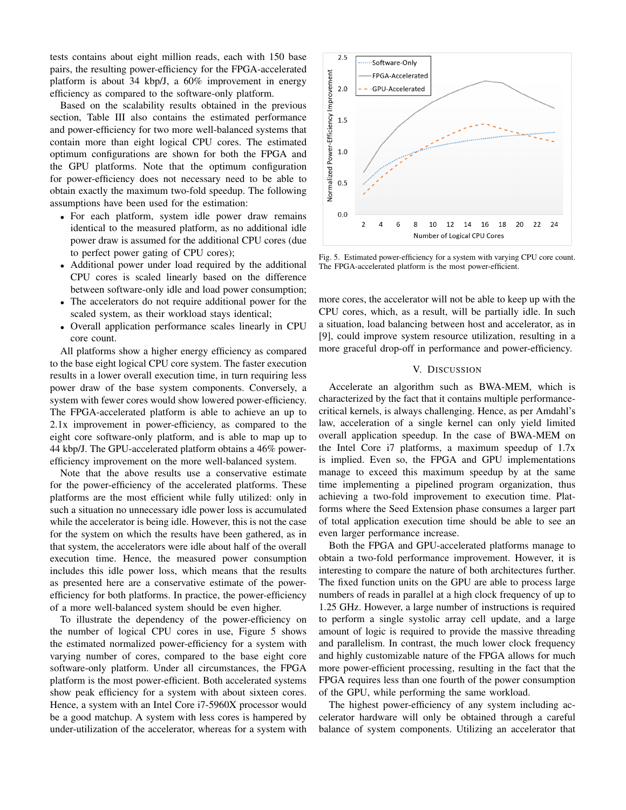tests contains about eight million reads, each with 150 base pairs, the resulting power-efficiency for the FPGA-accelerated platform is about 34 kbp/J, a 60% improvement in energy efficiency as compared to the software-only platform.

Based on the scalability results obtained in the previous section, Table III also contains the estimated performance and power-efficiency for two more well-balanced systems that contain more than eight logical CPU cores. The estimated optimum configurations are shown for both the FPGA and the GPU platforms. Note that the optimum configuration for power-efficiency does not necessary need to be able to obtain exactly the maximum two-fold speedup. The following assumptions have been used for the estimation:

- For each platform, system idle power draw remains identical to the measured platform, as no additional idle power draw is assumed for the additional CPU cores (due to perfect power gating of CPU cores);
- Additional power under load required by the additional CPU cores is scaled linearly based on the difference between software-only idle and load power consumption;
- The accelerators do not require additional power for the scaled system, as their workload stays identical;
- Overall application performance scales linearly in CPU core count.

All platforms show a higher energy efficiency as compared to the base eight logical CPU core system. The faster execution results in a lower overall execution time, in turn requiring less power draw of the base system components. Conversely, a system with fewer cores would show lowered power-efficiency. The FPGA-accelerated platform is able to achieve an up to 2.1x improvement in power-efficiency, as compared to the eight core software-only platform, and is able to map up to 44 kbp/J. The GPU-accelerated platform obtains a 46% powerefficiency improvement on the more well-balanced system.

Note that the above results use a conservative estimate for the power-efficiency of the accelerated platforms. These platforms are the most efficient while fully utilized: only in such a situation no unnecessary idle power loss is accumulated while the accelerator is being idle. However, this is not the case for the system on which the results have been gathered, as in that system, the accelerators were idle about half of the overall execution time. Hence, the measured power consumption includes this idle power loss, which means that the results as presented here are a conservative estimate of the powerefficiency for both platforms. In practice, the power-efficiency of a more well-balanced system should be even higher.

To illustrate the dependency of the power-efficiency on the number of logical CPU cores in use, Figure 5 shows the estimated normalized power-efficiency for a system with varying number of cores, compared to the base eight core software-only platform. Under all circumstances, the FPGA platform is the most power-efficient. Both accelerated systems show peak efficiency for a system with about sixteen cores. Hence, a system with an Intel Core i7-5960X processor would be a good matchup. A system with less cores is hampered by under-utilization of the accelerator, whereas for a system with



Fig. 5. Estimated power-efficiency for a system with varying CPU core count. The FPGA-accelerated platform is the most power-efficient.

more cores, the accelerator will not be able to keep up with the CPU cores, which, as a result, will be partially idle. In such a situation, load balancing between host and accelerator, as in [9], could improve system resource utilization, resulting in a more graceful drop-off in performance and power-efficiency.

### V. DISCUSSION

Accelerate an algorithm such as BWA-MEM, which is characterized by the fact that it contains multiple performancecritical kernels, is always challenging. Hence, as per Amdahl's law, acceleration of a single kernel can only yield limited overall application speedup. In the case of BWA-MEM on the Intel Core i7 platforms, a maximum speedup of 1.7x is implied. Even so, the FPGA and GPU implementations manage to exceed this maximum speedup by at the same time implementing a pipelined program organization, thus achieving a two-fold improvement to execution time. Platforms where the Seed Extension phase consumes a larger part of total application execution time should be able to see an even larger performance increase.

Both the FPGA and GPU-accelerated platforms manage to obtain a two-fold performance improvement. However, it is interesting to compare the nature of both architectures further. The fixed function units on the GPU are able to process large numbers of reads in parallel at a high clock frequency of up to 1.25 GHz. However, a large number of instructions is required to perform a single systolic array cell update, and a large amount of logic is required to provide the massive threading and parallelism. In contrast, the much lower clock frequency and highly customizable nature of the FPGA allows for much more power-efficient processing, resulting in the fact that the FPGA requires less than one fourth of the power consumption of the GPU, while performing the same workload.

The highest power-efficiency of any system including accelerator hardware will only be obtained through a careful balance of system components. Utilizing an accelerator that